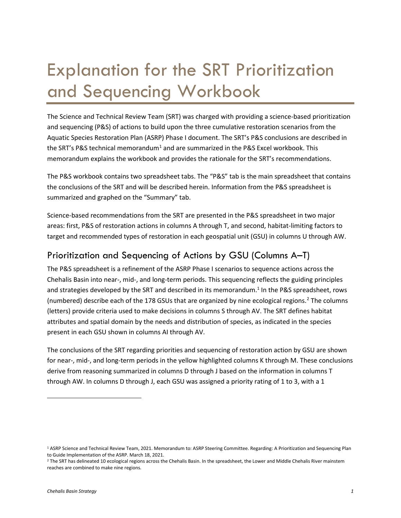# Explanation for the SRT Prioritization and Sequencing Workbook

The Science and Technical Review Team (SRT) was charged with providing a science-based prioritization and sequencing (P&S) of actions to build upon the three cumulative restoration scenarios from the Aquatic Species Restoration Plan (ASRP) Phase I document. The SRT's P&S conclusions are described in the SRT's P&S technical memorandum<sup>1</sup> and are summarized in the P&S Excel workbook. This memorandum explains the workbook and provides the rationale for the SRT's recommendations.

The P&S workbook contains two spreadsheet tabs. The "P&S" tab is the main spreadsheet that contains the conclusions of the SRT and will be described herein. Information from the P&S spreadsheet is summarized and graphed on the "Summary" tab.

Science-based recommendations from the SRT are presented in the P&S spreadsheet in two major areas: first, P&S of restoration actions in columns A through T, and second, habitat-limiting factors to target and recommended types of restoration in each geospatial unit (GSU) in columns U through AW.

## Prioritization and Sequencing of Actions by GSU (Columns A–T)

The P&S spreadsheet is a refinement of the ASRP Phase I scenarios to sequence actions across the Chehalis Basin into near-, mid-, and long-term periods. This sequencing reflects the guiding principles and strategies developed by the SRT and described in its memorandum. <sup>1</sup> In the P&S spreadsheet, rows (numbered) describe each of the 178 GSUs that are organized by nine ecological regions. [2](#page-0-1) The columns (letters) provide criteria used to make decisions in columns S through AV. The SRT defines habitat attributes and spatial domain by the needs and distribution of species, as indicated in the species present in each GSU shown in columns AI through AV.

The conclusions of the SRT regarding priorities and sequencing of restoration action by GSU are shown for near-, mid-, and long-term periods in the yellow highlighted columns K through M. These conclusions derive from reasoning summarized in columns D through J based on the information in columns T through AW. In columns D through J, each GSU was assigned a priority rating of 1 to 3, with a 1

<span id="page-0-0"></span><sup>1</sup> ASRP Science and Technical Review Team, 2021. Memorandum to: ASRP Steering Committee. Regarding: A Prioritization and Sequencing Plan to Guide Implementation of the ASRP. March 18, 2021.

<span id="page-0-1"></span> $<sup>2</sup>$  The SRT has delineated 10 ecological regions across the Chehalis Basin. In the spreadsheet, the Lower and Middle Chehalis River mainstem</sup> reaches are combined to make nine regions.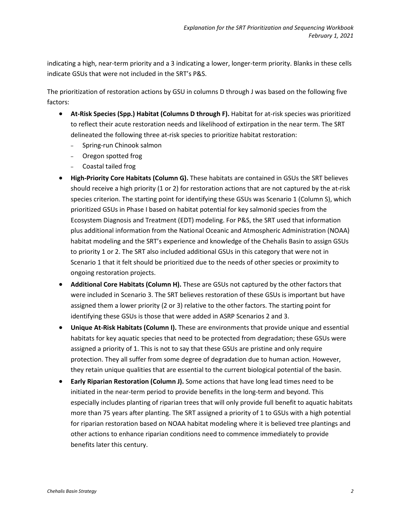indicating a high, near-term priority and a 3 indicating a lower, longer-term priority. Blanks in these cells indicate GSUs that were not included in the SRT's P&S.

The prioritization of restoration actions by GSU in columns D through J was based on the following five factors:

- **At-Risk Species (Spp.) Habitat (Columns D through F).** Habitat for at-risk species was prioritized to reflect their acute restoration needs and likelihood of extirpation in the near term. The SRT delineated the following three at-risk species to prioritize habitat restoration:
	- ‒ Spring-run Chinook salmon
	- ‒ Oregon spotted frog
	- ‒ Coastal tailed frog
- **High-Priority Core Habitats (Column G).** These habitats are contained in GSUs the SRT believes should receive a high priority (1 or 2) for restoration actions that are not captured by the at-risk species criterion. The starting point for identifying these GSUs was Scenario 1 (Column S), which prioritized GSUs in Phase I based on habitat potential for key salmonid species from the Ecosystem Diagnosis and Treatment (EDT) modeling. For P&S, the SRT used that information plus additional information from the National Oceanic and Atmospheric Administration (NOAA) habitat modeling and the SRT's experience and knowledge of the Chehalis Basin to assign GSUs to priority 1 or 2. The SRT also included additional GSUs in this category that were not in Scenario 1 that it felt should be prioritized due to the needs of other species or proximity to ongoing restoration projects.
- **Additional Core Habitats (Column H).** These are GSUs not captured by the other factors that were included in Scenario 3. The SRT believes restoration of these GSUs is important but have assigned them a lower priority (2 or 3) relative to the other factors. The starting point for identifying these GSUs is those that were added in ASRP Scenarios 2 and 3.
- **Unique At-Risk Habitats (Column I).** These are environments that provide unique and essential habitats for key aquatic species that need to be protected from degradation; these GSUs were assigned a priority of 1. This is not to say that these GSUs are pristine and only require protection. They all suffer from some degree of degradation due to human action. However, they retain unique qualities that are essential to the current biological potential of the basin.
- **Early Riparian Restoration (Column J).** Some actions that have long lead times need to be initiated in the near-term period to provide benefits in the long-term and beyond. This especially includes planting of riparian trees that will only provide full benefit to aquatic habitats more than 75 years after planting. The SRT assigned a priority of 1 to GSUs with a high potential for riparian restoration based on NOAA habitat modeling where it is believed tree plantings and other actions to enhance riparian conditions need to commence immediately to provide benefits later this century.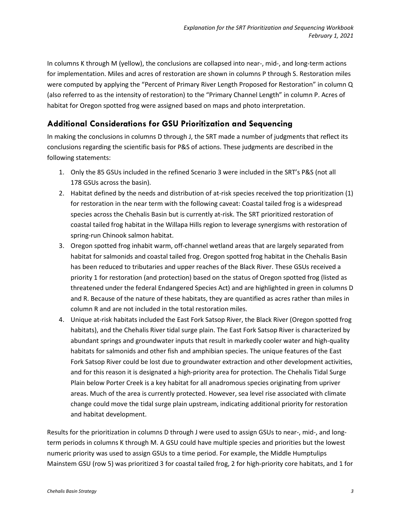In columns K through M (yellow), the conclusions are collapsed into near-, mid-, and long-term actions for implementation. Miles and acres of restoration are shown in columns P through S. Restoration miles were computed by applying the "Percent of Primary River Length Proposed for Restoration" in column Q (also referred to as the intensity of restoration) to the "Primary Channel Length" in column P. Acres of habitat for Oregon spotted frog were assigned based on maps and photo interpretation.

## **Additional Considerations for GSU Prioritization and Sequencing**

In making the conclusions in columns D through J, the SRT made a number of judgments that reflect its conclusions regarding the scientific basis for P&S of actions. These judgments are described in the following statements:

- 1. Only the 85 GSUs included in the refined Scenario 3 were included in the SRT's P&S (not all 178 GSUs across the basin).
- 2. Habitat defined by the needs and distribution of at-risk species received the top prioritization (1) for restoration in the near term with the following caveat: Coastal tailed frog is a widespread species across the Chehalis Basin but is currently at-risk. The SRT prioritized restoration of coastal tailed frog habitat in the Willapa Hills region to leverage synergisms with restoration of spring-run Chinook salmon habitat.
- 3. Oregon spotted frog inhabit warm, off-channel wetland areas that are largely separated from habitat for salmonids and coastal tailed frog. Oregon spotted frog habitat in the Chehalis Basin has been reduced to tributaries and upper reaches of the Black River. These GSUs received a priority 1 for restoration (and protection) based on the status of Oregon spotted frog (listed as threatened under the federal Endangered Species Act) and are highlighted in green in columns D and R. Because of the nature of these habitats, they are quantified as acres rather than miles in column R and are not included in the total restoration miles.
- 4. Unique at-risk habitats included the East Fork Satsop River, the Black River (Oregon spotted frog habitats), and the Chehalis River tidal surge plain. The East Fork Satsop River is characterized by abundant springs and groundwater inputs that result in markedly cooler water and high-quality habitats for salmonids and other fish and amphibian species. The unique features of the East Fork Satsop River could be lost due to groundwater extraction and other development activities, and for this reason it is designated a high-priority area for protection. The Chehalis Tidal Surge Plain below Porter Creek is a key habitat for all anadromous species originating from upriver areas. Much of the area is currently protected. However, sea level rise associated with climate change could move the tidal surge plain upstream, indicating additional priority for restoration and habitat development.

Results for the prioritization in columns D through J were used to assign GSUs to near-, mid-, and longterm periods in columns K through M. A GSU could have multiple species and priorities but the lowest numeric priority was used to assign GSUs to a time period. For example, the Middle Humptulips Mainstem GSU (row 5) was prioritized 3 for coastal tailed frog, 2 for high-priority core habitats, and 1 for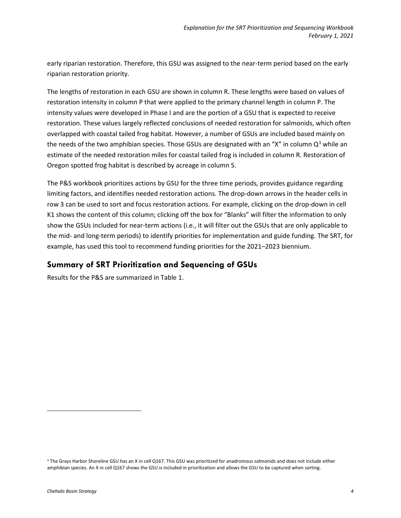early riparian restoration. Therefore, this GSU was assigned to the near-term period based on the early riparian restoration priority.

The lengths of restoration in each GSU are shown in column R. These lengths were based on values of restoration intensity in column P that were applied to the primary channel length in column P. The intensity values were developed in Phase I and are the portion of a GSU that is expected to receive restoration. These values largely reflected conclusions of needed restoration for salmonids, which often overlapped with coastal tailed frog habitat. However, a number of GSUs are included based mainly on the needs of the two amphibian species. Those GSUs are designated with an "X" in column  $Q<sup>3</sup>$  $Q<sup>3</sup>$  $Q<sup>3</sup>$  while an estimate of the needed restoration miles for coastal tailed frog is included in column R. Restoration of Oregon spotted frog habitat is described by acreage in column S.

The P&S workbook prioritizes actions by GSU for the three time periods, provides guidance regarding limiting factors, and identifies needed restoration actions. The drop-down arrows in the header cells in row 3 can be used to sort and focus restoration actions. For example, clicking on the drop-down in cell K1 shows the content of this column; clicking off the box for "Blanks" will filter the information to only show the GSUs included for near-term actions (i.e., it will filter out the GSUs that are only applicable to the mid- and long-term periods) to identify priorities for implementation and guide funding. The SRT, for example, has used this tool to recommend funding priorities for the 2021–2023 biennium.

## **Summary of SRT Prioritization and Sequencing of GSUs**

Results for the P&S are summarized in Table 1.

<span id="page-3-0"></span><sup>&</sup>lt;sup>3</sup> The Grays Harbor Shoreline GSU has an X in cell Q167. This GSU was prioritized for anadromous salmonids and does not include either amphibian species. An X in cell Q167 shows the GSU is included in prioritization and allows the GSU to be captured when sorting.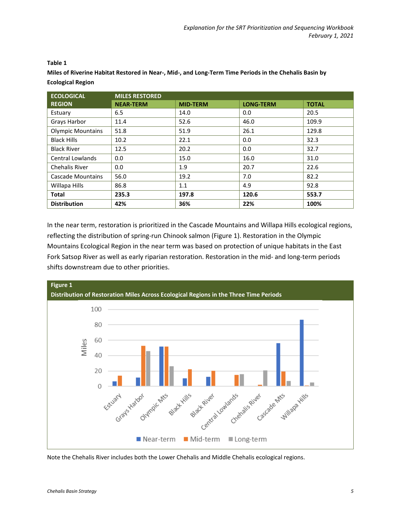| <b>ECOLOGICAL</b>        | <b>MILES RESTORED</b> |                 |                  |              |  |  |
|--------------------------|-----------------------|-----------------|------------------|--------------|--|--|
| <b>REGION</b>            | <b>NEAR-TERM</b>      | <b>MID-TERM</b> | <b>LONG-TERM</b> | <b>TOTAL</b> |  |  |
| Estuary                  | 6.5                   | 14.0            | 0.0              | 20.5         |  |  |
| Grays Harbor             | 11.4                  | 52.6            | 46.0             | 109.9        |  |  |
| <b>Olympic Mountains</b> | 51.8                  | 51.9            | 26.1             | 129.8        |  |  |
| <b>Black Hills</b>       | 10.2                  | 22.1            | 0.0              | 32.3         |  |  |
| <b>Black River</b>       | 12.5                  | 20.2            | 0.0              | 32.7         |  |  |
| <b>Central Lowlands</b>  | 0.0                   | 15.0            | 16.0             | 31.0         |  |  |
| <b>Chehalis River</b>    | 0.0                   | 1.9             | 20.7             | 22.6         |  |  |
| Cascade Mountains        | 56.0                  | 19.2            | 7.0              | 82.2         |  |  |
| Willapa Hills            | 86.8                  | 1.1             | 4.9              | 92.8         |  |  |
| <b>Total</b>             | 235.3                 | 197.8           | 120.6            | 553.7        |  |  |
| <b>Distribution</b>      | 42%                   | 36%             | 22%              | 100%         |  |  |

#### **Table 1**

**Miles of Riverine Habitat Restored in Near-, Mid-, and Long-Term Time Periods in the Chehalis Basin by Ecological Region**

In the near term, restoration is prioritized in the Cascade Mountains and Willapa Hills ecological regions, reflecting the distribution of spring-run Chinook salmon (Figure 1). Restoration in the Olympic Mountains Ecological Region in the near term was based on protection of unique habitats in the East Fork Satsop River as well as early riparian restoration. Restoration in the mid- and long-term periods shifts downstream due to other priorities.



Note the Chehalis River includes both the Lower Chehalis and Middle Chehalis ecological regions.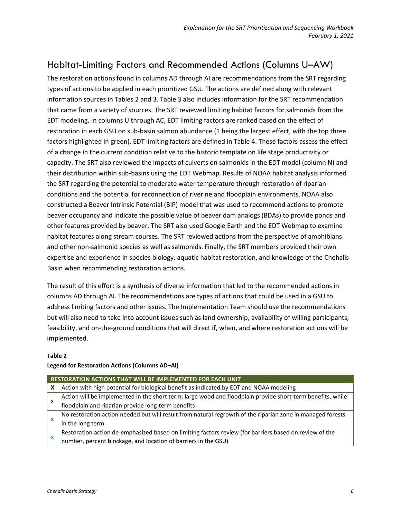# Habitat-Limiting Factors and Recommended Actions (Columns U–AW)

The restoration actions found in columns AD through AI are recommendations from the SRT regarding types of actions to be applied in each prioritized GSU. The actions are defined along with relevant information sources in Tables 2 and 3. Table 3 also includes information for the SRT recommendation that came from a variety of sources. The SRT reviewed limiting habitat factors for salmonids from the EDT modeling. In columns U through AC, EDT limiting factors are ranked based on the effect of restoration in each GSU on sub-basin salmon abundance (1 being the largest effect, with the top three factors highlighted in green). EDT limiting factors are defined in Table 4. These factors assess the effect of a change in the current condition relative to the historic template on life stage productivity or capacity. The SRT also reviewed the impacts of culverts on salmonids in the EDT model (column N) and their distribution within sub-basins using the EDT Webmap. Results of NOAA habitat analysis informed the SRT regarding the potential to moderate water temperature through restoration of riparian conditions and the potential for reconnection of riverine and floodplain environments. NOAA also constructed a Beaver Intrinsic Potential (BIP) model that was used to recommend actions to promote beaver occupancy and indicate the possible value of beaver dam analogs (BDAs) to provide ponds and other features provided by beaver. The SRT also used Google Earth and the EDT Webmap to examine habitat features along stream courses. The SRT reviewed actions from the perspective of amphibians and other non-salmonid species as well as salmonids. Finally, the SRT members provided their own expertise and experience in species biology, aquatic habitat restoration, and knowledge of the Chehalis Basin when recommending restoration actions.

The result of this effort is a synthesis of diverse information that led to the recommended actions in columns AD through AI. The recommendations are types of actions that could be used in a GSU to address limiting factors and other issues. The Implementation Team should use the recommendations but will also need to take into account issues such as land ownership, availability of willing participants, feasibility, and on-the-ground conditions that will direct if, when, and where restoration actions will be implemented.

#### **Table 2**

### **Legend for Restoration Actions (Columns AD–AI)**

| RESTORATION ACTIONS THAT WILL BE IMPLEMENTED FOR EACH UNIT |                                                                                                            |  |  |  |
|------------------------------------------------------------|------------------------------------------------------------------------------------------------------------|--|--|--|
| x                                                          | Action with high potential for biological benefit as indicated by EDT and NOAA modeling                    |  |  |  |
| x                                                          | Action will be implemented in the short term; large wood and floodplain provide short-term benefits, while |  |  |  |
|                                                            | floodplain and riparian provide long-term benefits                                                         |  |  |  |
| x                                                          | No restoration action needed but will result from natural regrowth of the riparian zone in managed forests |  |  |  |
|                                                            | in the long term                                                                                           |  |  |  |
|                                                            | Restoration action de-emphasized based on limiting factors review (for barriers based on review of the     |  |  |  |
|                                                            | number, percent blockage, and location of barriers in the GSU)                                             |  |  |  |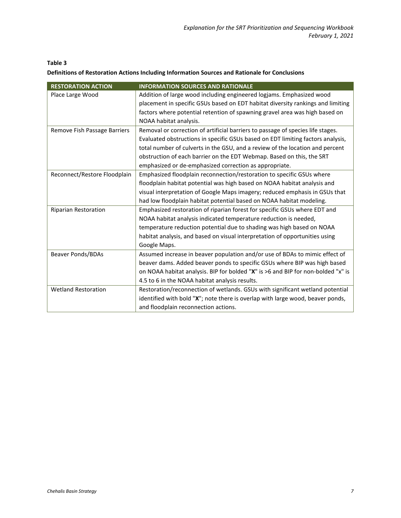#### **Table 3**

#### **Definitions of Restoration Actions Including Information Sources and Rationale for Conclusions**

| <b>RESTORATION ACTION</b>    | <b>INFORMATION SOURCES AND RATIONALE</b>                                         |
|------------------------------|----------------------------------------------------------------------------------|
| Place Large Wood             | Addition of large wood including engineered logjams. Emphasized wood             |
|                              | placement in specific GSUs based on EDT habitat diversity rankings and limiting  |
|                              | factors where potential retention of spawning gravel area was high based on      |
|                              | NOAA habitat analysis.                                                           |
| Remove Fish Passage Barriers | Removal or correction of artificial barriers to passage of species life stages.  |
|                              | Evaluated obstructions in specific GSUs based on EDT limiting factors analysis,  |
|                              | total number of culverts in the GSU, and a review of the location and percent    |
|                              | obstruction of each barrier on the EDT Webmap. Based on this, the SRT            |
|                              | emphasized or de-emphasized correction as appropriate.                           |
| Reconnect/Restore Floodplain | Emphasized floodplain reconnection/restoration to specific GSUs where            |
|                              | floodplain habitat potential was high based on NOAA habitat analysis and         |
|                              | visual interpretation of Google Maps imagery; reduced emphasis in GSUs that      |
|                              | had low floodplain habitat potential based on NOAA habitat modeling.             |
| <b>Riparian Restoration</b>  | Emphasized restoration of riparian forest for specific GSUs where EDT and        |
|                              | NOAA habitat analysis indicated temperature reduction is needed,                 |
|                              | temperature reduction potential due to shading was high based on NOAA            |
|                              | habitat analysis, and based on visual interpretation of opportunities using      |
|                              | Google Maps.                                                                     |
| <b>Beaver Ponds/BDAs</b>     | Assumed increase in beaver population and/or use of BDAs to mimic effect of      |
|                              | beaver dams. Added beaver ponds to specific GSUs where BIP was high based        |
|                              | on NOAA habitat analysis. BIP for bolded "X" is >6 and BIP for non-bolded "x" is |
|                              | 4.5 to 6 in the NOAA habitat analysis results.                                   |
| <b>Wetland Restoration</b>   | Restoration/reconnection of wetlands. GSUs with significant wetland potential    |
|                              | identified with bold "X"; note there is overlap with large wood, beaver ponds,   |
|                              | and floodplain reconnection actions.                                             |